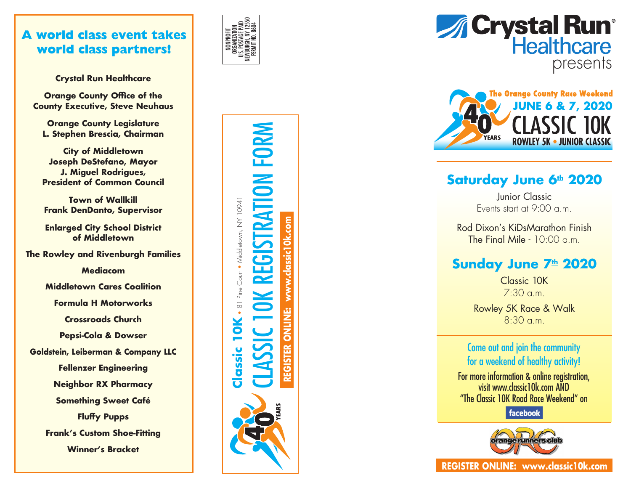## **A world class event takes world class partners!**

**Crystal Run Healthcare**

**Orange County Office of the County Executive, Steve Neuhaus**

**Orange County Legislature L. Stephen Brescia, Chairman**

**City of Middletown Joseph DeStefano, Mayor J. Miguel Rodrigues, President of Common Council**

**Town of Wallkill Frank DenDanto, Supervisor**

**Enlarged City School District of Middletown**

**The Rowley and Rivenburgh Families**

**Mediacom**

**Middletown Cares Coalition**

**Formula H Motorworks**

**Crossroads Church**

**Pepsi-Cola & Dowser**

**Goldstein, Leiberman & Company LLC**

**Fellenzer Engineering**

**Neighbor RX Pharmacy**

**Something Sweet Café**

**Fluffy Pupps Frank's Custom Shoe-Fitting Winner's Bracket**









## **Saturday June 6th 2020**

Junior Classic Events start at 9 :00 a.m.

Rod Dixon's KiDsMarathon Finish The Final Mile - 10:00 a.m.

## **Sunday June 7th 2020**

Classic 10K 7:30 a.m.

Rowley 5K Race & Walk 8:30 a.m.

### Come out and join the community for a weekend of healthy activity !

For more information & online registration, visit www.classic10k.com AND "The Classic 10K Road Race Weekend" on

facebook



**REGISTER ONLINE: www.classic10k.com**